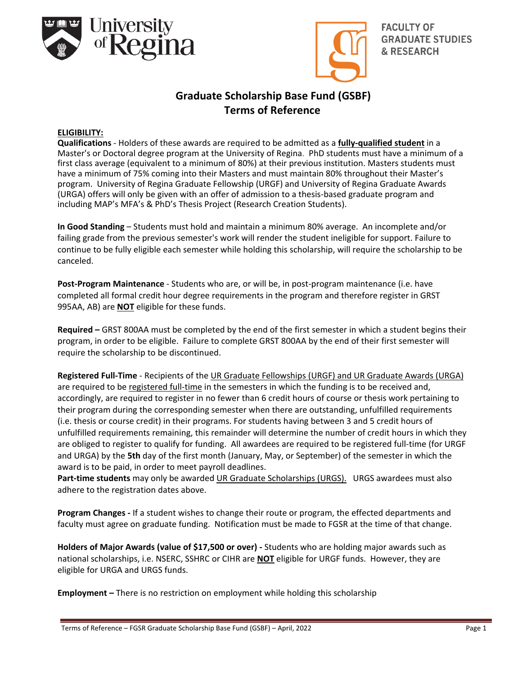



**FACULTY OF GRADUATE STUDIES & RESEARCH** 

# **Graduate Scholarship Base Fund (GSBF) Terms of Reference**

### **ELIGIBILITY:**

**Qualifications** ‐ Holders of these awards are required to be admitted as a **fully‐qualified student** in a Master's or Doctoral degree program at the University of Regina. PhD students must have a minimum of a first class average (equivalent to a minimum of 80%) at their previous institution. Masters students must have a minimum of 75% coming into their Masters and must maintain 80% throughout their Master's program. University of Regina Graduate Fellowship (URGF) and University of Regina Graduate Awards (URGA) offers will only be given with an offer of admission to a thesis‐based graduate program and including MAP's MFA's & PhD's Thesis Project (Research Creation Students).

**In Good Standing** – Students must hold and maintain a minimum 80% average. An incomplete and/or failing grade from the previous semester's work will render the student ineligible for support. Failure to continue to be fully eligible each semester while holding this scholarship, will require the scholarship to be canceled.

**Post‐Program Maintenance** ‐ Students who are, or will be, in post‐program maintenance (i.e. have completed all formal credit hour degree requirements in the program and therefore register in GRST 995AA, AB) are **NOT** eligible for these funds.

**Required –** GRST 800AA must be completed by the end of the first semester in which a student begins their program, in order to be eligible. Failure to complete GRST 800AA by the end of their first semester will require the scholarship to be discontinued.

**Registered Full‐Time** ‐ Recipients of the UR Graduate Fellowships (URGF) and UR Graduate Awards (URGA) are required to be registered full-time in the semesters in which the funding is to be received and, accordingly, are required to register in no fewer than 6 credit hours of course or thesis work pertaining to their program during the corresponding semester when there are outstanding, unfulfilled requirements (i.e. thesis or course credit) in their programs. For students having between 3 and 5 credit hours of unfulfilled requirements remaining, this remainder will determine the number of credit hours in which they are obliged to register to qualify for funding.All awardees are required to be registered full‐time (for URGF and URGA) by the **5th** day of the first month (January, May, or September) of the semester in which the award is to be paid, in order to meet payroll deadlines.

**Part‐time students** may only be awarded UR Graduate Scholarships (URGS). URGS awardees must also adhere to the registration dates above.

**Program Changes ‐** If a student wishes to change their route or program, the effected departments and faculty must agree on graduate funding. Notification must be made to FGSR at the time of that change.

**Holders of Major Awards (value of \$17,500 or over) ‐** Students who are holding major awards such as national scholarships, i.e. NSERC, SSHRC or CIHR are **NOT** eligible for URGF funds. However, they are eligible for URGA and URGS funds.

**Employment –** There is no restriction on employment while holding this scholarship